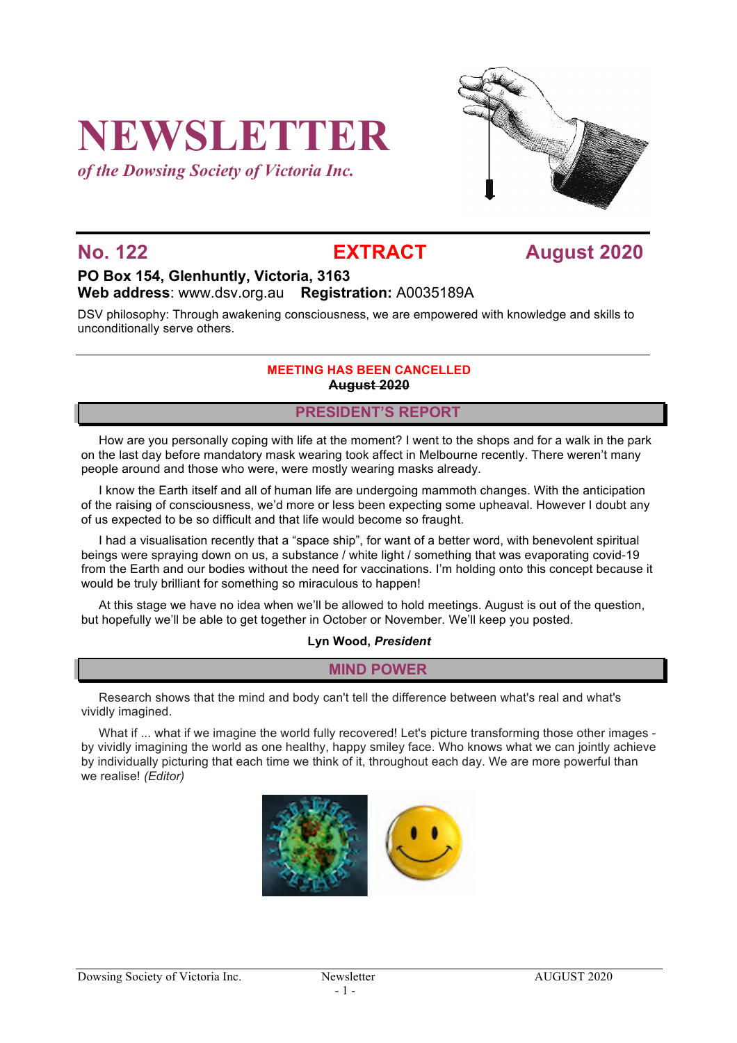# **NEWSLETTER**

*of the Dowsing Society of Victoria Inc.*



**No. 122 EXTRACT August 2020**

### **PO Box 154, Glenhuntly, Victoria, 3163 Web address**: www.dsv.org.au **Registration:** A0035189A

DSV philosophy: Through awakening consciousness, we are empowered with knowledge and skills to unconditionally serve others.

#### **MEETING HAS BEEN CANCELLED August 2020**

#### **PRESIDENT'S REPORT**

How are you personally coping with life at the moment? I went to the shops and for a walk in the park on the last day before mandatory mask wearing took affect in Melbourne recently. There weren't many people around and those who were, were mostly wearing masks already.

I know the Earth itself and all of human life are undergoing mammoth changes. With the anticipation of the raising of consciousness, we'd more or less been expecting some upheaval. However I doubt any of us expected to be so difficult and that life would become so fraught.

I had a visualisation recently that a "space ship", for want of a better word, with benevolent spiritual beings were spraying down on us, a substance / white light / something that was evaporating covid-19 from the Earth and our bodies without the need for vaccinations. I'm holding onto this concept because it would be truly brilliant for something so miraculous to happen!

At this stage we have no idea when we'll be allowed to hold meetings. August is out of the question, but hopefully we'll be able to get together in October or November. We'll keep you posted.

#### **Lyn Wood,** *President*

#### **MIND POWER**

Research shows that the mind and body can't tell the difference between what's real and what's vividly imagined.

What if ... what if we imagine the world fully recovered! Let's picture transforming those other images by vividly imagining the world as one healthy, happy smiley face. Who knows what we can jointly achieve by individually picturing that each time we think of it, throughout each day. We are more powerful than we realise! *(Editor)*

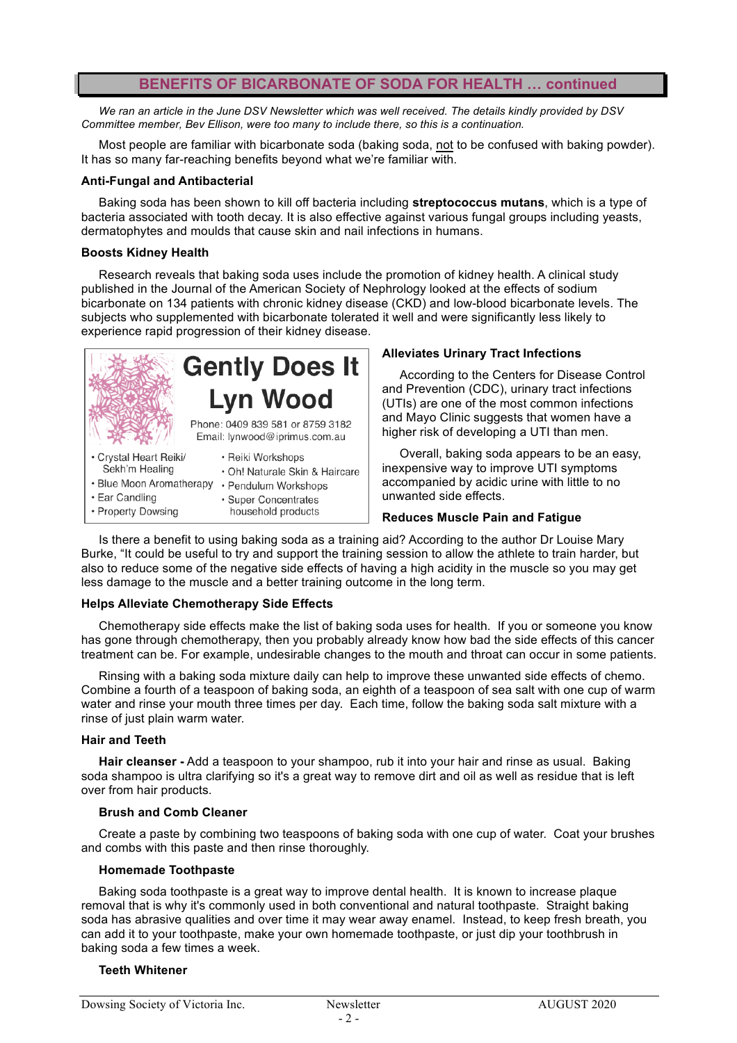### **BENEFITS OF BICARBONATE OF SODA FOR HEALTH … continued**

*We ran an article in the June DSV Newsletter which was well received. The details kindly provided by DSV Committee member, Bev Ellison, were too many to include there, so this is a continuation.*

Most people are familiar with bicarbonate soda (baking soda, not to be confused with baking powder). It has so many far-reaching benefits beyond what we're familiar with.

#### **Anti-Fungal and Antibacterial**

Baking soda has been shown to kill off bacteria including **streptococcus mutans**, which is a type of bacteria associated with tooth decay. It is also effective against various fungal groups including yeasts, dermatophytes and moulds that cause skin and nail infections in humans.

#### **Boosts Kidney Health**

Research reveals that baking soda uses include the promotion of kidney health. A clinical study published in the Journal of the American Society of Nephrology looked at the effects of sodium bicarbonate on 134 patients with chronic kidney disease (CKD) and low-blood bicarbonate levels. The subjects who supplemented with bicarbonate tolerated it well and were significantly less likely to experience rapid progression of their kidney disease.



- · Ear Candling • Property Dowsing
- · Super Concentrates household products

#### **Alleviates Urinary Tract Infections**

According to the Centers for Disease Control and Prevention (CDC), urinary tract infections (UTIs) are one of the most common infections and Mayo Clinic suggests that women have a higher risk of developing a UTI than men.

Overall, baking soda appears to be an easy, inexpensive way to improve UTI symptoms accompanied by acidic urine with little to no unwanted side effects.

#### **Reduces Muscle Pain and Fatigue**

Is there a benefit to using baking soda as a training aid? According to the author Dr Louise Mary Burke, "It could be useful to try and support the training session to allow the athlete to train harder, but also to reduce some of the negative side effects of having a high acidity in the muscle so you may get less damage to the muscle and a better training outcome in the long term.

#### **Helps Alleviate Chemotherapy Side Effects**

Chemotherapy side effects make the list of baking soda uses for health. If you or someone you know has gone through chemotherapy, then you probably already know how bad the side effects of this cancer treatment can be. For example, undesirable changes to the mouth and throat can occur in some patients.

Rinsing with a baking soda mixture daily can help to improve these unwanted side effects of chemo. Combine a fourth of a teaspoon of baking soda, an eighth of a teaspoon of sea salt with one cup of warm water and rinse your mouth three times per day. Each time, follow the baking soda salt mixture with a rinse of just plain warm water.

#### **Hair and Teeth**

**Hair cleanser -** Add a teaspoon to your shampoo, rub it into your hair and rinse as usual. Baking soda shampoo is ultra clarifying so it's a great way to remove dirt and oil as well as residue that is left over from hair products.

#### **Brush and Comb Cleaner**

Create a paste by combining two teaspoons of baking soda with one cup of water. Coat your brushes and combs with this paste and then rinse thoroughly.

#### **Homemade Toothpaste**

Baking soda toothpaste is a great way to improve dental health. It is known to increase plaque removal that is why it's commonly used in both conventional and natural toothpaste. Straight baking soda has abrasive qualities and over time it may wear away enamel. Instead, to keep fresh breath, you can add it to your toothpaste, make your own homemade toothpaste, or just dip your toothbrush in baking soda a few times a week.

#### **Teeth Whitener**